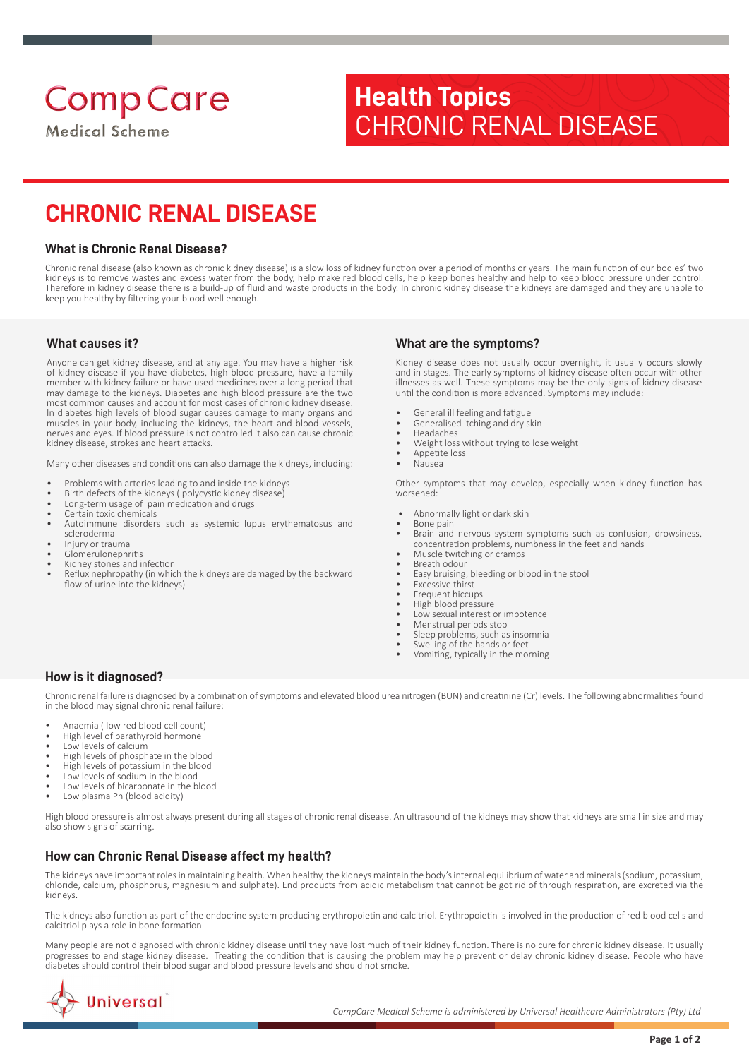**Comp Care** 

**Medical Scheme** 

# **Health Topics** CHRONIC RENAL DISEASE

# **CHRONIC RENAL DISEASE**

### **What is Chronic Renal Disease?**

Chronic renal disease (also known as chronic kidney disease) is a slow loss of kidney function over a period of months or years. The main function of our bodies' two kidneys is to remove wastes and excess water from the body, help make red blood cells, help keep bones healthy and help to keep blood pressure under control. Therefore in kidney disease there is a build-up of fluid and waste products in the body. In chronic kidney disease the kidneys are damaged and they are unable to keep you healthy by filtering your blood well enough.

#### **What causes it?**

Anyone can get kidney disease, and at any age. You may have a higher risk of kidney disease if you have diabetes, high blood pressure, have a family member with kidney failure or have used medicines over a long period that may damage to the kidneys. Diabetes and high blood pressure are the two most common causes and account for most cases of chronic kidney disease. In diabetes high levels of blood sugar causes damage to many organs and muscles in your body, including the kidneys, the heart and blood vessels, nerves and eyes. If blood pressure is not controlled it also can cause chronic kidney disease, strokes and heart attacks.

Many other diseases and conditions can also damage the kidneys, including:

- Problems with arteries leading to and inside the kidneys
- Birth defects of the kidneys (polycystic kidney disease)
- Long-term usage of pain medication and drugs
- Certain toxic chemicals
- Autoimmune disorders such as systemic lupus erythematosus and scleroderma
- Injury or trauma
- Glomerulonephritis
- Kidney stones and infection
- Reflux nephropathy (in which the kidneys are damaged by the backward flow of urine into the kidneys)

#### **What are the symptoms?**

Kidney disease does not usually occur overnight, it usually occurs slowly and in stages. The early symptoms of kidney disease often occur with other illnesses as well. These symptoms may be the only signs of kidney disease until the condition is more advanced. Symptoms may include:

- General ill feeling and fatigue
- Generalised itching and dry skin
- Headaches • Weight loss without trying to lose weight
- Appetite loss
- Nausea

Other symptoms that may develop, especially when kidney function has worsened:

- Abnormally light or dark skin
- Bone pain
- Brain and nervous system symptoms such as confusion, drowsiness, concentration problems, numbness in the feet and hands
- Muscle twitching or cramps Breath odour
- Easy bruising, bleeding or blood in the stool
- Excessive thirst
- Frequent hiccups
- High blood pressure
- Low sexual interest or impotence
- Menstrual periods stop
- Sleep problems, such as insomnia
- Swelling of the hands or feet
- Vomiting, typically in the morning

### **How is it diagnosed?**

Chronic renal failure is diagnosed by a combination of symptoms and elevated blood urea nitrogen (BUN) and creatinine (Cr) levels. The following abnormalities found in the blood may signal chronic renal failure:

- Anaemia ( low red blood cell count)
- High level of parathyroid hormone
- Low levels of calcium
- High levels of phosphate in the blood
- High levels of potassium in the blood
- Low levels of sodium in the blood
- Low levels of bicarbonate in the blood
- Low plasma Ph (blood acidity)

High blood pressure is almost always present during all stages of chronic renal disease. An ultrasound of the kidneys may show that kidneys are small in size and may also show signs of scarring.

## **How can Chronic Renal Disease affect my health?**

The kidneys have important roles in maintaining health. When healthy, the kidneys maintain the body's internal equilibrium of water and minerals (sodium, potassium, chloride, calcium, phosphorus, magnesium and sulphate). End products from acidic metabolism that cannot be got rid of through respiration, are excreted via the kidneys.

The kidneys also function as part of the endocrine system producing erythropoietin and calcitriol. Erythropoietin is involved in the production of red blood cells and calcitriol plays a role in bone formation.

Many people are not diagnosed with chronic kidney disease until they have lost much of their kidney function. There is no cure for chronic kidney disease. It usually progresses to end stage kidney disease. Treating the condition that is causing the problem may help prevent or delay chronic kidney disease. People who have diabetes should control their blood sugar and blood pressure levels and should not smoke.